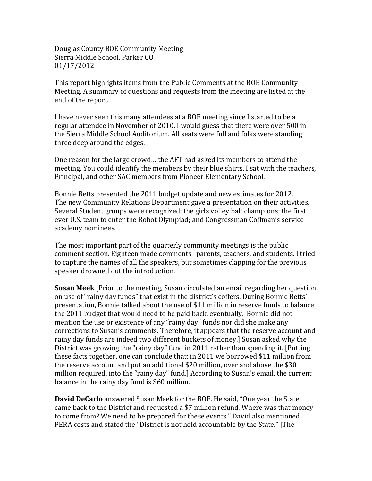Douglas County BOE Community Meeting Sierra Middle School, Parker CO 01/17/2012

This report highlights items from the Public Comments at the BOE Community Meeting. A summary of questions and requests from the meeting are listed at the end of the report.

I have never seen this many attendees at a BOE meeting since I started to be a regular attendee in November of 2010. I would guess that there were over 500 in the Sierra Middle School Auditorium. All seats were full and folks were standing three deep around the edges.

One reason for the large crowd... the AFT had asked its members to attend the meeting. You could identify the members by their blue shirts. I sat with the teachers, Principal, and other SAC members from Pioneer Elementary School.

Bonnie Betts presented the 2011 budget update and new estimates for 2012. The new Community Relations Department gave a presentation on their activities. Several Student groups were recognized: the girls volley ball champions; the first ever U.S. team to enter the Robot Olympiad; and Congressman Coffman's service academy nominees.

The most important part of the quarterly community meetings is the public comment section. Eighteen made comments--parents, teachers, and students. I tried to capture the names of all the speakers, but sometimes clapping for the previous speaker drowned out the introduction.

**Susan Meek** [Prior to the meeting, Susan circulated an email regarding her question on use of "rainy day funds" that exist in the district's coffers. During Bonnie Betts' presentation, Bonnie talked about the use of \$11 million in reserve funds to balance the 2011 budget that would need to be paid back, eventually. Bonnie did not mention the use or existence of any "rainy day" funds nor did she make any corrections to Susan's comments. Therefore, it appears that the reserve account and rainy day funds are indeed two different buckets of money.] Susan asked why the District was growing the "rainy day" fund in 2011 rather than spending it. [Putting] these facts together, one can conclude that: in 2011 we borrowed \$11 million from the reserve account and put an additional \$20 million, over and above the \$30 million required, into the "rainy day" fund.] According to Susan's email, the current balance in the rainy day fund is \$60 million.

**David DeCarlo** answered Susan Meek for the BOE. He said, "One year the State came back to the District and requested a \$7 million refund. Where was that money to come from? We need to be prepared for these events." David also mentioned PERA costs and stated the "District is not held accountable by the State." [The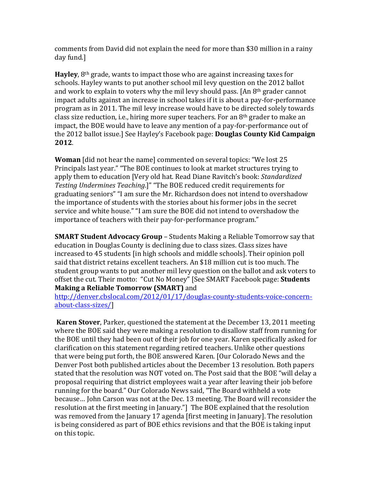comments from David did not explain the need for more than \$30 million in a rainy day fund.]

**Hayley**, 8<sup>th</sup> grade, wants to impact those who are against increasing taxes for schools. Hayley wants to put another school mil levy question on the 2012 ballot and work to explain to voters why the mil levy should pass. [An  $8<sup>th</sup>$  grader cannot impact adults against an increase in school takes if it is about a pay-for-performance program as in 2011. The mil levy increase would have to be directed solely towards class size reduction, i.e., hiring more super teachers. For an  $8<sup>th</sup>$  grader to make an impact, the BOE would have to leave any mention of a pay-for-performance out of the 2012 ballot issue.] See Hayley's Facebook page: **Douglas County Kid Campaign 2012**.

**Woman** [did not hear the name] commented on several topics: "We lost 25 Principals last year." "The BOE continues to look at market structures trying to apply them to education [Very old hat. Read Diane Ravitch's book: Standardized *Testing Undermines Teaching.]"* "The BOE reduced credit requirements for graduating seniors" "I am sure the Mr. Richardson does not intend to overshadow the importance of students with the stories about his former jobs in the secret service and white house." "I am sure the BOE did not intend to overshadow the importance of teachers with their pay-for-performance program."

**SMART Student Advocacy Group** – Students Making a Reliable Tomorrow say that education in Douglas County is declining due to class sizes. Class sizes have increased to 45 students [in high schools and middle schools]. Their opinion poll said that district retains excellent teachers. An \$18 million cut is too much. The student group wants to put another mil levy question on the ballot and ask voters to offset the cut. Their motto: "Cut No Money" [See SMART Facebook page: **Students Making a Reliable Tomorrow (SMART)** and

http://denver.cbslocal.com/2012/01/17/douglas-county-students-voice-concernabout-class-sizes/]

**Karen Stover**, Parker, questioned the statement at the December 13, 2011 meeting where the BOE said they were making a resolution to disallow staff from running for the BOE until they had been out of their job for one year. Karen specifically asked for clarification on this statement regarding retired teachers. Unlike other questions that were being put forth, the BOE answered Karen. [Our Colorado News and the Denver Post both published articles about the December 13 resolution. Both papers stated that the resolution was NOT voted on. The Post said that the BOE "will delay a proposal requiring that district employees wait a year after leaving their job before running for the board." Our Colorado News said, "The Board withheld a vote because... John Carson was not at the Dec. 13 meeting. The Board will reconsider the resolution at the first meeting in January."] The BOE explained that the resolution was removed from the January 17 agenda [first meeting in January]. The resolution is being considered as part of BOE ethics revisions and that the BOE is taking input on this topic.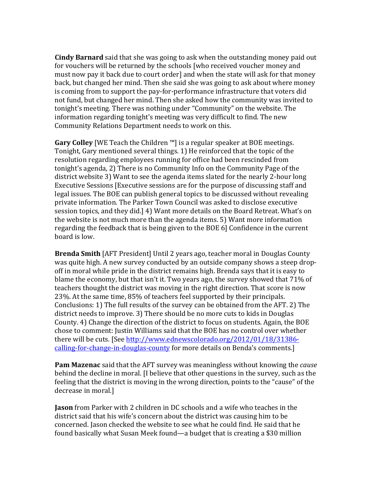**Cindy Barnard** said that she was going to ask when the outstanding money paid out for vouchers will be returned by the schools [who received voucher money and must now pay it back due to court order] and when the state will ask for that money back, but changed her mind. Then she said she was going to ask about where money is coming from to support the pay-for-performance infrastructure that voters did not fund, but changed her mind. Then she asked how the community was invited to tonight's meeting. There was nothing under "Community" on the website. The information regarding tonight's meeting was very difficult to find. The new Community Relations Department needs to work on this.

**Gary Colley** [WE Teach the Children  $M$ ] is a regular speaker at BOE meetings. Tonight, Gary mentioned several things. 1) He reinforced that the topic of the resolution regarding employees running for office had been rescinded from tonight's agenda, 2) There is no Community Info on the Community Page of the district website 3) Want to see the agenda items slated for the nearly 2-hour long Executive Sessions [Executive sessions are for the purpose of discussing staff and legal issues. The BOE can publish general topics to be discussed without revealing private information. The Parker Town Council was asked to disclose executive session topics, and they did.](4) Want more details on the Board Retreat. What's on the website is not much more than the agenda items. 5) Want more information regarding the feedback that is being given to the BOE  $6$ ] Confidence in the current board is low.

**Brenda Smith** [AFT President] Until 2 years ago, teacher moral in Douglas County was quite high. A new survey conducted by an outside company shows a steep dropoff in moral while pride in the district remains high. Brenda says that it is easy to blame the economy, but that isn't it. Two years ago, the survey showed that  $71\%$  of teachers thought the district was moving in the right direction. That score is now 23%. At the same time, 85% of teachers feel supported by their principals. Conclusions: 1) The full results of the survey can be obtained from the AFT. 2) The district needs to improve. 3) There should be no more cuts to kids in Douglas County. 4) Change the direction of the district to focus on students. Again, the BOE chose to comment: Justin Williams said that the BOE has no control over whether there will be cuts. [See http://www.ednewscolorado.org/2012/01/18/31386calling-for-change-in-douglas-county for more details on Benda's comments.]

**Pam Mazenac** said that the AFT survey was meaningless without knowing the *cause* behind the decline in moral. [I believe that other questions in the survey, such as the feeling that the district is moving in the wrong direction, points to the "cause" of the decrease in moral.]

**Jason** from Parker with 2 children in DC schools and a wife who teaches in the district said that his wife's concern about the district was causing him to be concerned. Jason checked the website to see what he could find. He said that he found basically what Susan Meek found—a budget that is creating a \$30 million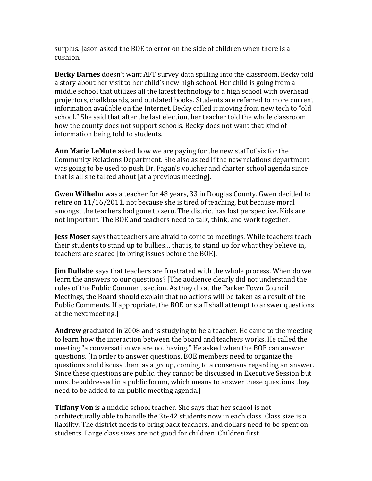surplus. Jason asked the BOE to error on the side of children when there is a cushion.

**Becky Barnes** doesn't want AFT survey data spilling into the classroom. Becky told a story about her visit to her child's new high school. Her child is going from a middle school that utilizes all the latest technology to a high school with overhead projectors, chalkboards, and outdated books. Students are referred to more current information available on the Internet. Becky called it moving from new tech to "old school." She said that after the last election, her teacher told the whole classroom how the county does not support schools. Becky does not want that kind of information being told to students.

**Ann Marie LeMute** asked how we are paying for the new staff of six for the Community Relations Department. She also asked if the new relations department was going to be used to push Dr. Fagan's voucher and charter school agenda since that is all she talked about [at a previous meeting].

**Gwen Wilhelm** was a teacher for 48 years, 33 in Douglas County. Gwen decided to retire on  $11/16/2011$ , not because she is tired of teaching, but because moral amongst the teachers had gone to zero. The district has lost perspective. Kids are not important. The BOE and teachers need to talk, think, and work together.

**Jess Moser** says that teachers are afraid to come to meetings. While teachers teach their students to stand up to bullies... that is, to stand up for what they believe in, teachers are scared [to bring issues before the BOE].

**Jim Dullabe** says that teachers are frustrated with the whole process. When do we learn the answers to our questions? [The audience clearly did not understand the rules of the Public Comment section. As they do at the Parker Town Council Meetings, the Board should explain that no actions will be taken as a result of the Public Comments. If appropriate, the BOE or staff shall attempt to answer questions at the next meeting.]

Andrew graduated in 2008 and is studying to be a teacher. He came to the meeting to learn how the interaction between the board and teachers works. He called the meeting "a conversation we are not having." He asked when the BOE can answer questions. [In order to answer questions, BOE members need to organize the questions and discuss them as a group, coming to a consensus regarding an answer. Since these questions are public, they cannot be discussed in Executive Session but must be addressed in a public forum, which means to answer these questions they need to be added to an public meeting agenda.]

**Tiffany Von** is a middle school teacher. She says that her school is not architecturally able to handle the 36-42 students now in each class. Class size is a liability. The district needs to bring back teachers, and dollars need to be spent on students. Large class sizes are not good for children. Children first.